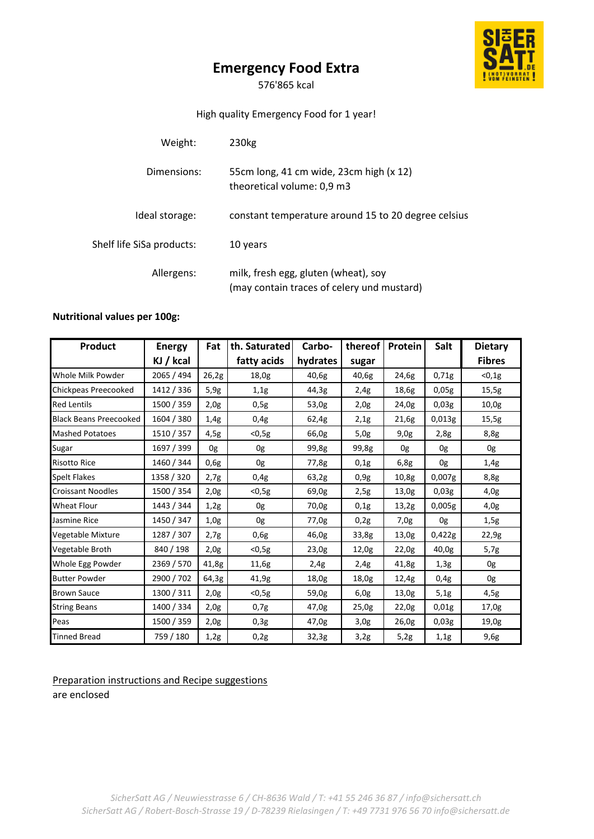# **Emergency Food Extra**

S

576'865 kcal

## High quality Emergency Food for 1 year!

| Weight:                   | 230 <sub>kg</sub>                                                                  |  |  |  |  |
|---------------------------|------------------------------------------------------------------------------------|--|--|--|--|
| Dimensions:               | 55cm long, 41 cm wide, 23cm high (x 12)<br>theoretical volume: 0,9 m3              |  |  |  |  |
| Ideal storage:            | constant temperature around 15 to 20 degree celsius                                |  |  |  |  |
| Shelf life SiSa products: | 10 years                                                                           |  |  |  |  |
| Allergens:                | milk, fresh egg, gluten (wheat), soy<br>(may contain traces of celery und mustard) |  |  |  |  |

## **Nutritional values per 100g:**

| <b>Product</b>                | <b>Energy</b> | Fat   | th. Saturated | Carbo-   | thereof | Protein | Salt   | <b>Dietary</b> |
|-------------------------------|---------------|-------|---------------|----------|---------|---------|--------|----------------|
|                               | KJ / kcal     |       | fatty acids   | hydrates | sugar   |         |        | <b>Fibres</b>  |
| Whole Milk Powder             | 2065 / 494    | 26,2g | 18,0g         | 40,6g    | 40,6g   | 24,6g   | 0,71g  | < 0, 1g        |
| Chickpeas Preecooked          | 1412 / 336    | 5,9g  | 1,1g          | 44,3g    | 2,4g    | 18,6g   | 0,05g  | 15,5g          |
| <b>Red Lentils</b>            | 1500 / 359    | 2,0g  | 0,5g          | 53,0g    | 2,0g    | 24,0g   | 0,03g  | 10,0g          |
| <b>Black Beans Preecooked</b> | 1604 / 380    | 1,4g  | 0,4g          | 62,4g    | 2,1g    | 21,6g   | 0,013g | 15,5g          |
| <b>Mashed Potatoes</b>        | 1510 / 357    | 4,5g  | $<$ 0,5g      | 66,0g    | 5,0g    | 9,0g    | 2,8g   | 8,8g           |
| Sugar                         | 1697 / 399    | 0g    | 0g            | 99,8g    | 99,8g   | 0g      | 0g     | 0g             |
| <b>Risotto Rice</b>           | 1460 / 344    | 0,6g  | 0g            | 77,8g    | 0,1g    | 6,8g    | 0g     | 1,4g           |
| <b>Spelt Flakes</b>           | 1358 / 320    | 2,7g  | 0,4g          | 63,2g    | 0,9g    | 10,8g   | 0.007g | 8,8g           |
| <b>Croissant Noodles</b>      | 1500 / 354    | 2,0g  | $<$ 0,5g      | 69,0g    | 2,5g    | 13,0g   | 0,03g  | 4,0g           |
| <b>Wheat Flour</b>            | 1443 / 344    | 1,2g  | 0g            | 70,0g    | 0,1g    | 13,2g   | 0,005g | 4,0g           |
| Jasmine Rice                  | 1450 / 347    | 1,0g  | 0g            | 77,0g    | 0,2g    | 7,0g    | 0g     | 1,5g           |
| Vegetable Mixture             | 1287 / 307    | 2,7g  | 0,6g          | 46,0g    | 33,8g   | 13,0g   | 0,422g | 22,9g          |
| Vegetable Broth               | 840 / 198     | 2,0g  | $0,5g$        | 23,0g    | 12,0g   | 22,0g   | 40,0g  | 5,7g           |
| Whole Egg Powder              | 2369 / 570    | 41,8g | 11,6g         | 2,4g     | 2,4g    | 41,8g   | 1,3g   | 0g             |
| <b>Butter Powder</b>          | 2900 / 702    | 64,3g | 41,9g         | 18,0g    | 18,0g   | 12,4g   | 0.4g   | 0g             |
| <b>Brown Sauce</b>            | 1300 / 311    | 2,0g  | $0,5g$        | 59,0g    | 6,0g    | 13,0g   | 5,1g   | 4,5g           |
| <b>String Beans</b>           | 1400 / 334    | 2,0g  | 0,7g          | 47,0g    | 25,0g   | 22,0g   | 0,01g  | 17,0g          |
| Peas                          | 1500 / 359    | 2,0g  | 0,3g          | 47,0g    | 3,0g    | 26,0g   | 0,03g  | 19,0g          |
| <b>Tinned Bread</b>           | 759 / 180     | 1,2g  | 0,2g          | 32,3g    | 3,2g    | 5,2g    | 1,1g   | 9,6g           |

Preparation instructions and Recipe suggestions

are enclosed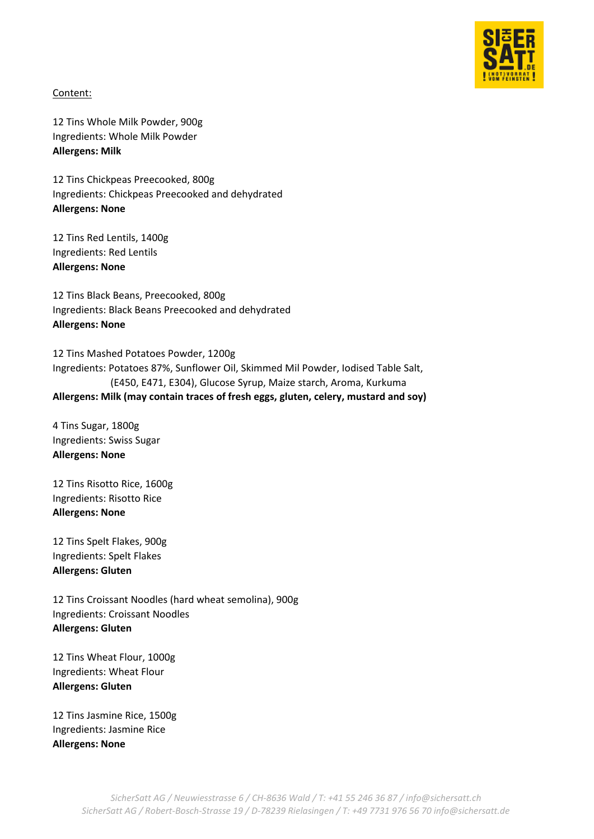

## Content:

12 Tins Whole Milk Powder, 900g Ingredients: Whole Milk Powder **Allergens: Milk**

12 Tins Chickpeas Preecooked, 800g Ingredients: Chickpeas Preecooked and dehydrated **Allergens: None**

12 Tins Red Lentils, 1400g Ingredients: Red Lentils **Allergens: None**

12 Tins Black Beans, Preecooked, 800g Ingredients: Black Beans Preecooked and dehydrated **Allergens: None**

12 Tins Mashed Potatoes Powder, 1200g Ingredients: Potatoes 87%, Sunflower Oil, Skimmed Mil Powder, Iodised Table Salt, (E450, E471, E304), Glucose Syrup, Maize starch, Aroma, Kurkuma **Allergens: Milk (may contain traces of fresh eggs, gluten, celery, mustard and soy)** 

4 Tins Sugar, 1800g Ingredients: Swiss Sugar **Allergens: None**

12 Tins Risotto Rice, 1600g Ingredients: Risotto Rice **Allergens: None**

12 Tins Spelt Flakes, 900g Ingredients: Spelt Flakes **Allergens: Gluten**

12 Tins Croissant Noodles (hard wheat semolina), 900g Ingredients: Croissant Noodles **Allergens: Gluten**

12 Tins Wheat Flour, 1000g Ingredients: Wheat Flour **Allergens: Gluten**

12 Tins Jasmine Rice, 1500g Ingredients: Jasmine Rice **Allergens: None**